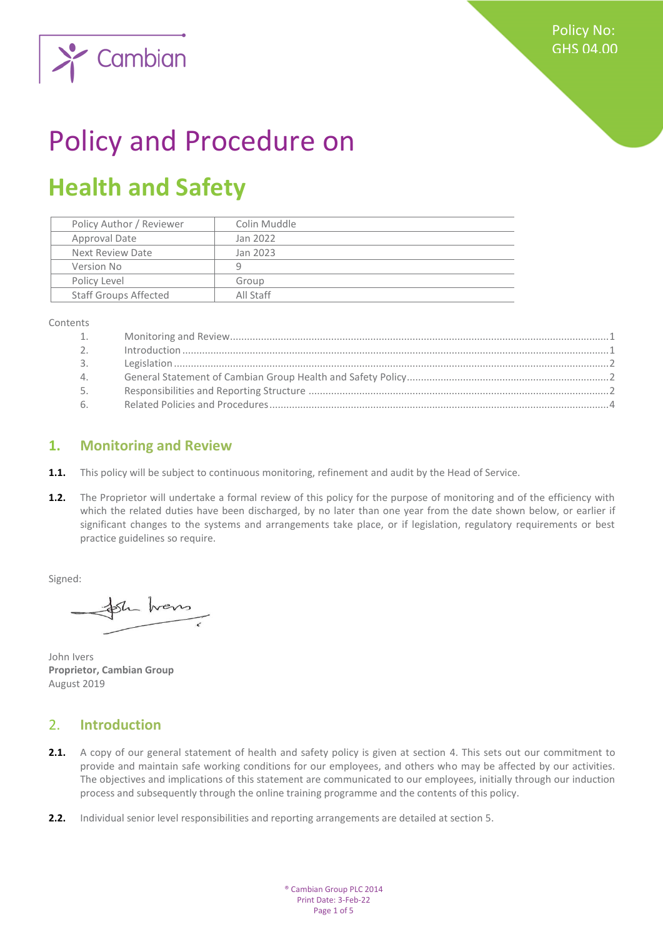

# Policy and Procedure on

## **Health and Safety**

| Policy Author / Reviewer     | Colin Muddle |
|------------------------------|--------------|
| Approval Date                | Jan 2022     |
| Next Review Date             | Jan 2023     |
| Version No                   | q            |
| Policy Level                 | Group        |
| <b>Staff Groups Affected</b> | All Staff    |

Contents

| 1.             |  |
|----------------|--|
| 2 <sub>1</sub> |  |
| 3.             |  |
| 4.             |  |
| 5.             |  |
| 6.             |  |

#### <span id="page-0-0"></span>**1. Monitoring and Review**

- **1.1.** This policy will be subject to continuous monitoring, refinement and audit by the Head of Service.
- 1.2. The Proprietor will undertake a formal review of this policy for the purpose of monitoring and of the efficiency with which the related duties have been discharged, by no later than one year from the date shown below, or earlier if significant changes to the systems and arrangements take place, or if legislation, regulatory requirements or best practice guidelines so require.

Signed:

Sh hans

John Ivers **Proprietor, Cambian Group** August 2019

#### <span id="page-0-1"></span>2. **Introduction**

- **2.1.** A copy of our general statement of health and safety policy is given at section 4. This sets out our commitment to provide and maintain safe working conditions for our employees, and others who may be affected by our activities. The objectives and implications of this statement are communicated to our employees, initially through our induction process and subsequently through the online training programme and the contents of this policy.
- **2.2.** Individual senior level responsibilities and reporting arrangements are detailed at section 5.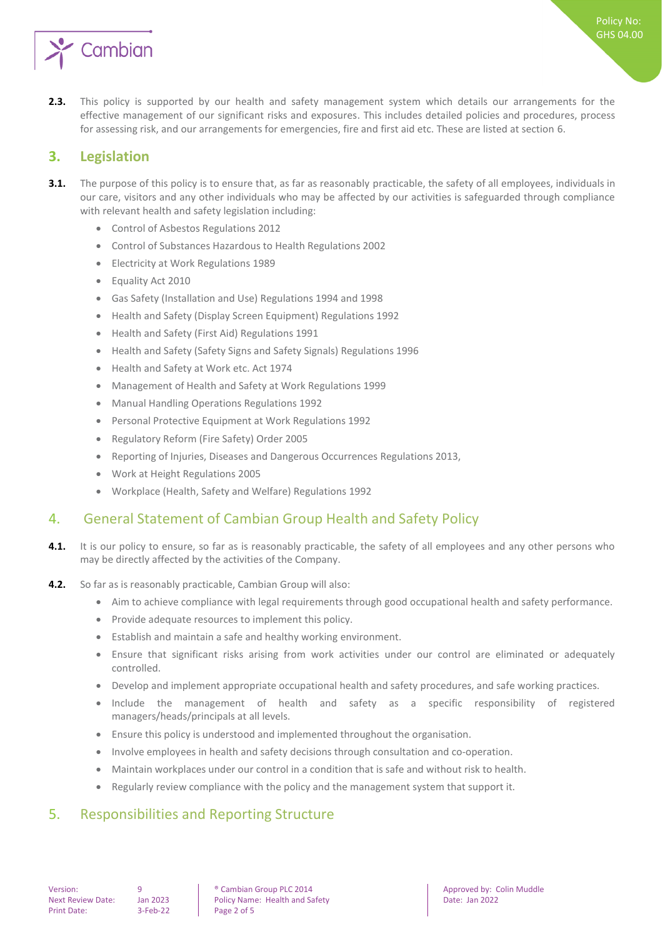

**2.3.** This policy is supported by our health and safety management system which details our arrangements for the effective management of our significant risks and exposures. This includes detailed policies and procedures, process for assessing risk, and our arrangements for emergencies, fire and first aid etc. These are listed at section 6.

#### <span id="page-1-0"></span>**3. Legislation**

- **3.1.** The purpose of this policy is to ensure that, as far as reasonably practicable, the safety of all employees, individuals in our care, visitors and any other individuals who may be affected by our activities is safeguarded through compliance with relevant health and safety legislation including:
	- Control of Asbestos Regulations 2012
	- Control of Substances Hazardous to Health Regulations 2002
	- Electricity at Work Regulations 1989
	- Equality Act 2010
	- Gas Safety (Installation and Use) Regulations 1994 and 1998
	- Health and Safety (Display Screen Equipment) Regulations 1992
	- Health and Safety (First Aid) Regulations 1991
	- Health and Safety (Safety Signs and Safety Signals) Regulations 1996
	- Health and Safety at Work etc. Act 1974
	- Management of Health and Safety at Work Regulations 1999
	- Manual Handling Operations Regulations 1992
	- Personal Protective Equipment at Work Regulations 1992
	- Regulatory Reform (Fire Safety) Order 2005
	- Reporting of Injuries, Diseases and Dangerous Occurrences Regulations 2013,
	- Work at Height Regulations 2005
	- Workplace (Health, Safety and Welfare) Regulations 1992

### <span id="page-1-1"></span>4. General Statement of Cambian Group Health and Safety Policy

- **4.1.** It is our policy to ensure, so far as is reasonably practicable, the safety of all employees and any other persons who may be directly affected by the activities of the Company.
- **4.2.** So far as is reasonably practicable, Cambian Group will also:
	- Aim to achieve compliance with legal requirements through good occupational health and safety performance.
	- Provide adequate resources to implement this policy.
	- Establish and maintain a safe and healthy working environment.
	- Ensure that significant risks arising from work activities under our control are eliminated or adequately controlled.
	- Develop and implement appropriate occupational health and safety procedures, and safe working practices.
	- Include the management of health and safety as a specific responsibility of registered managers/heads/principals at all levels.
	- Ensure this policy is understood and implemented throughout the organisation.
	- Involve employees in health and safety decisions through consultation and co-operation.
	- Maintain workplaces under our control in a condition that is safe and without risk to health.
	- Regularly review compliance with the policy and the management system that support it.

### <span id="page-1-2"></span>5. Responsibilities and Reporting Structure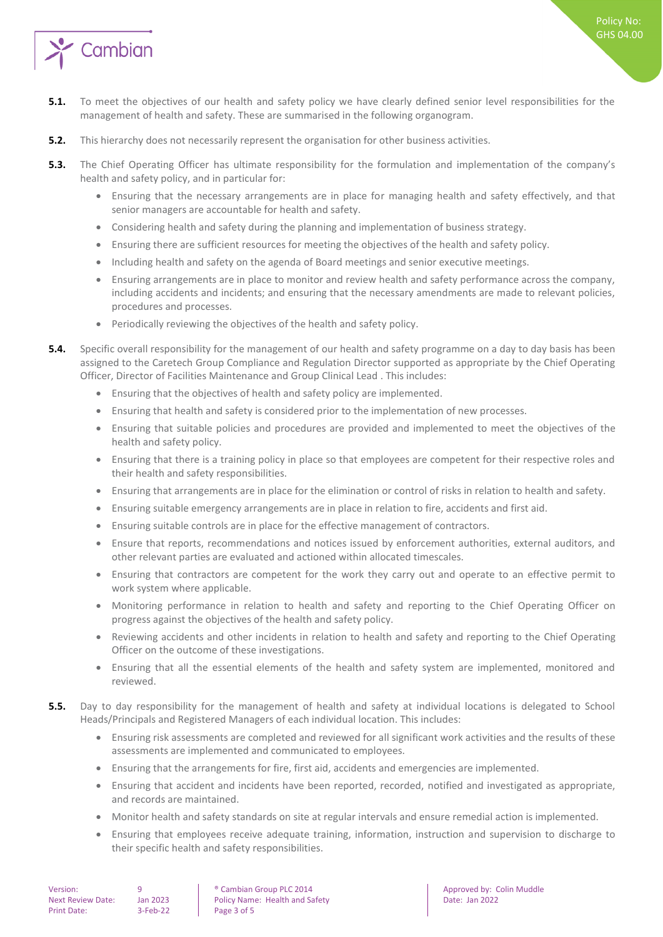

- **5.1.** To meet the objectives of our health and safety policy we have clearly defined senior level responsibilities for the management of health and safety. These are summarised in the following organogram.
- **5.2.** This hierarchy does not necessarily represent the organisation for other business activities.
- **5.3.** The Chief Operating Officer has ultimate responsibility for the formulation and implementation of the company's health and safety policy, and in particular for:
	- Ensuring that the necessary arrangements are in place for managing health and safety effectively, and that senior managers are accountable for health and safety.
	- Considering health and safety during the planning and implementation of business strategy.
	- Ensuring there are sufficient resources for meeting the objectives of the health and safety policy.
	- Including health and safety on the agenda of Board meetings and senior executive meetings.
	- Ensuring arrangements are in place to monitor and review health and safety performance across the company, including accidents and incidents; and ensuring that the necessary amendments are made to relevant policies, procedures and processes.
	- Periodically reviewing the objectives of the health and safety policy.
- **5.4.** Specific overall responsibility for the management of our health and safety programme on a day to day basis has been assigned to the Caretech Group Compliance and Regulation Director supported as appropriate by the Chief Operating Officer, Director of Facilities Maintenance and Group Clinical Lead . This includes:
	- Ensuring that the objectives of health and safety policy are implemented.
	- Ensuring that health and safety is considered prior to the implementation of new processes.
	- Ensuring that suitable policies and procedures are provided and implemented to meet the objectives of the health and safety policy.
	- Ensuring that there is a training policy in place so that employees are competent for their respective roles and their health and safety responsibilities.
	- Ensuring that arrangements are in place for the elimination or control of risks in relation to health and safety.
	- Ensuring suitable emergency arrangements are in place in relation to fire, accidents and first aid.
	- Ensuring suitable controls are in place for the effective management of contractors.
	- Ensure that reports, recommendations and notices issued by enforcement authorities, external auditors, and other relevant parties are evaluated and actioned within allocated timescales.
	- Ensuring that contractors are competent for the work they carry out and operate to an effective permit to work system where applicable.
	- Monitoring performance in relation to health and safety and reporting to the Chief Operating Officer on progress against the objectives of the health and safety policy.
	- Reviewing accidents and other incidents in relation to health and safety and reporting to the Chief Operating Officer on the outcome of these investigations.
	- Ensuring that all the essential elements of the health and safety system are implemented, monitored and reviewed.
- **5.5.** Day to day responsibility for the management of health and safety at individual locations is delegated to School Heads/Principals and Registered Managers of each individual location. This includes:
	- Ensuring risk assessments are completed and reviewed for all significant work activities and the results of these assessments are implemented and communicated to employees.
	- Ensuring that the arrangements for fire, first aid, accidents and emergencies are implemented.
	- Ensuring that accident and incidents have been reported, recorded, notified and investigated as appropriate, and records are maintained.
	- Monitor health and safety standards on site at regular intervals and ensure remedial action is implemented.
	- Ensuring that employees receive adequate training, information, instruction and supervision to discharge to their specific health and safety responsibilities.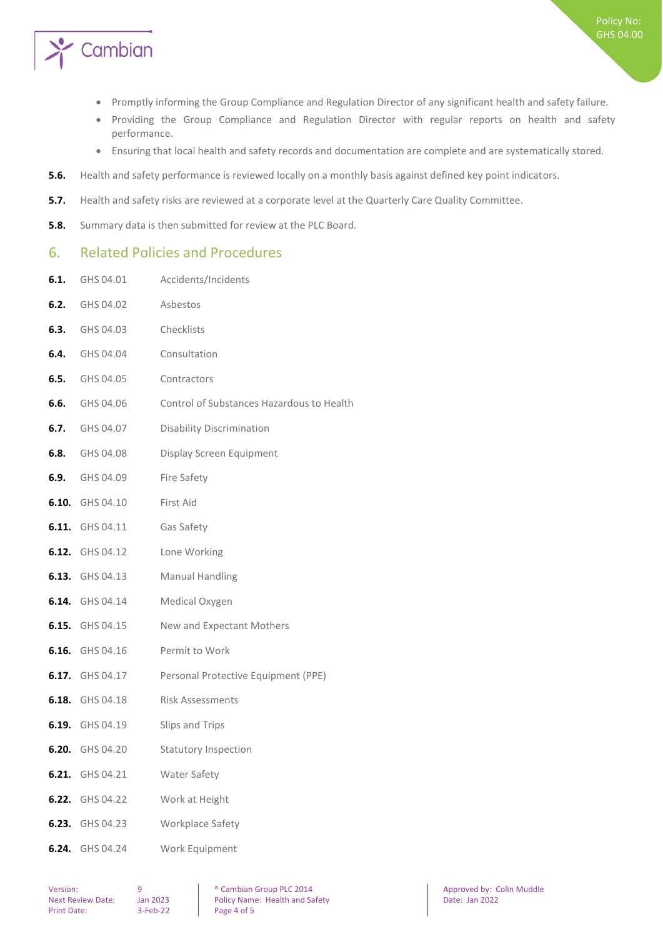

- Promptly informing the Group Compliance and Regulation Director of any significant health and safety failure.
- Providing the Group Compliance and Regulation Director with regular reports on health and safety performance.
- Ensuring that local health and safety records and documentation are complete and are systematically stored.
- **5.6.** Health and safety performance is reviewed locally on a monthly basis against defined key point indicators.
- **5.7.** Health and safety risks are reviewed at a corporate level at the Quarterly Care Quality Committee.
- **5.8.** Summary data is then submitted for review at the PLC Board.

#### <span id="page-3-0"></span>6. Related Policies and Procedures

- **6.1.** GHS 04.01 Accidents/Incidents
- **6.2.** GHS 04.02 Asbestos **6.3.** GHS 04.03 Checklists **6.4.** GHS 04.04 Consultation **6.5.** GHS 04.05 Contractors **6.6.** GHS 04.06 Control of Substances Hazardous to Health **6.7.** GHS 04.07 Disability Discrimination **6.8.** GHS 04.08 Display Screen Equipment **6.9.** GHS 04.09 Fire Safety **6.10.** GHS 04.10 First Aid **6.11.** GHS 04.11 Gas Safety **6.12.** GHS 04.12 Lone Working **6.13.** GHS 04.13 Manual Handling **6.14.** GHS 04.14 Medical Oxygen **6.15.** GHS 04.15 New and Expectant Mothers **6.16.** GHS 04.16 Permit to Work **6.17.** GHS 04.17 Personal Protective Equipment (PPE) **6.18.** GHS 04.18 Risk Assessments **6.19.** GHS 04.19 Slips and Trips **6.20.** GHS 04.20 Statutory Inspection **6.21.** GHS 04.21 Water Safety **6.22.** GHS 04.22 Work at Height **6.23.** GHS 04.23 Workplace Safety **6.24.** GHS 04.24 Work Equipment